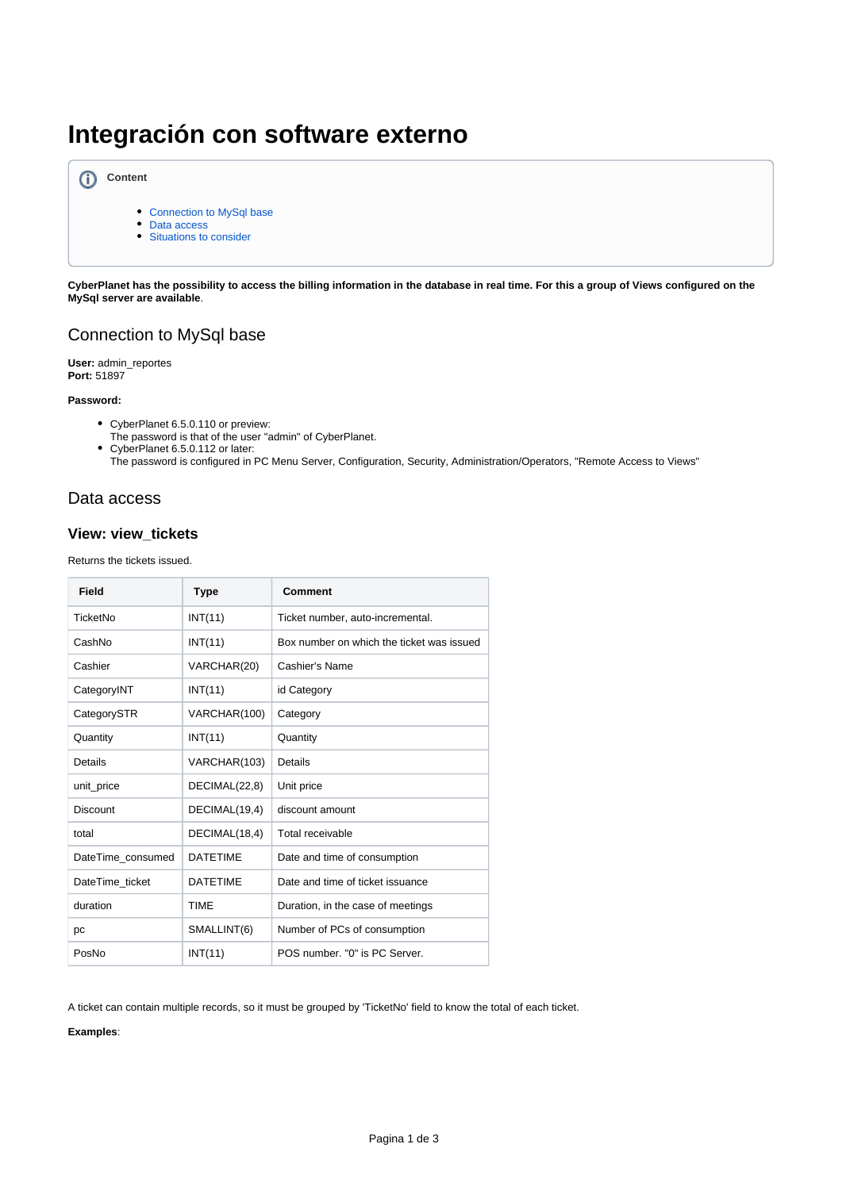# **Integración con software externo**



- [Connection to MySql base](#page-0-0)
- [Data access](#page-0-1)
- [Situations to consider](#page-2-0)

**CyberPlanet has the possibility to access the billing information in the database in real time. For this a group of Views configured on the MySql server are available**.

## <span id="page-0-0"></span>Connection to MySql base

**User:** admin\_reportes **Port:** 51897

#### **Password:**

- CyberPlanet 6.5.0.110 or preview:
- The password is that of the user "admin" of CyberPlanet.
- CyberPlanet 6.5.0.112 or later: The password is configured in PC Menu Server, Configuration, Security, Administration/Operators, "Remote Access to Views"

### <span id="page-0-1"></span>Data access

#### **View: view\_tickets**

Returns the tickets issued.

| <b>Field</b>      | <b>Type</b>     | <b>Comment</b>                            |
|-------------------|-----------------|-------------------------------------------|
| TicketNo          | INT(11)         | Ticket number, auto-incremental.          |
| CashNo            | INT(11)         | Box number on which the ticket was issued |
| Cashier           | VARCHAR(20)     | Cashier's Name                            |
| CategoryINT       | INT(11)         | id Category                               |
| CategorySTR       | VARCHAR(100)    | Category                                  |
| Quantity          | INT(11)         | Quantity                                  |
| Details           | VARCHAR(103)    | Details                                   |
| unit_price        | DECIMAL(22,8)   | Unit price                                |
| <b>Discount</b>   | DECIMAL(19,4)   | discount amount                           |
| total             | DECIMAL(18,4)   | Total receivable                          |
| DateTime consumed | <b>DATETIME</b> | Date and time of consumption              |
| DateTime ticket   | <b>DATETIME</b> | Date and time of ticket issuance          |
| duration          | <b>TIME</b>     | Duration, in the case of meetings         |
| pc                | SMALLINT(6)     | Number of PCs of consumption              |
| PosNo             | INT(11)         | POS number. "0" is PC Server.             |

A ticket can contain multiple records, so it must be grouped by 'TicketNo' field to know the total of each ticket.

**Examples**: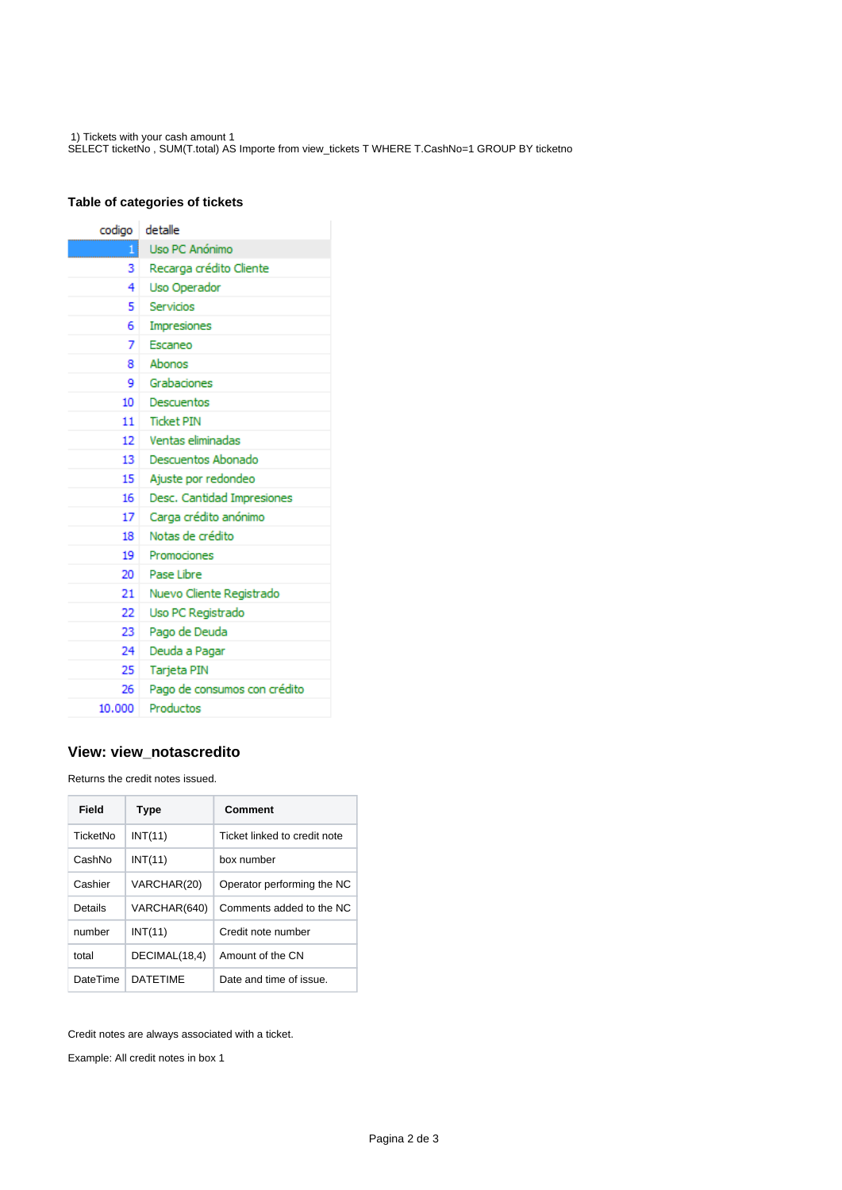1) Tickets with your cash amount 1 SELECT ticketNo , SUM(T.total) AS Importe from view\_tickets T WHERE T.CashNo=1 GROUP BY ticketno

#### **Table of categories of tickets**

| codigo  | detalle                      |  |
|---------|------------------------------|--|
| 11      | Uso PC Anónimo               |  |
| 3.      | Recarga crédito Cliente      |  |
| 4       | Uso Operador                 |  |
| 5       | Servicios                    |  |
| 6.      | Impresiones                  |  |
| 7.      | Escaneo                      |  |
| 8.      | Abonos                       |  |
| 9.      | Grabaciones                  |  |
| 10      | Descuentos                   |  |
| 11      | <b>Ticket PIN</b>            |  |
| $12-12$ | Ventas eliminadas            |  |
| $13-13$ | Descuentos Abonado           |  |
| 15      | Ajuste por redondeo          |  |
| 16      | Desc. Cantidad Impresiones   |  |
| 17      | Carga crédito anónimo        |  |
| 18      | Notas de crédito             |  |
| 19      | Promociones                  |  |
| $20-1$  | Pase Libre                   |  |
| 21      | Nuevo Cliente Registrado     |  |
| 22.     | Uso PC Registrado            |  |
| 23.     | Pago de Deuda                |  |
| 24      | Deuda a Pagar                |  |
| 25      | Tarjeta PIN                  |  |
| 26.     | Pago de consumos con crédito |  |
| 10.000  | Productos                    |  |

#### **View: view\_notascredito**

Returns the credit notes issued.

| Field    | <b>Type</b>     | Comment                      |
|----------|-----------------|------------------------------|
| TicketNo | INT(11)         | Ticket linked to credit note |
| CashNo   | INT(11)         | box number                   |
| Cashier  | VARCHAR(20)     | Operator performing the NC   |
| Details  | VARCHAR(640)    | Comments added to the NC     |
| number   | INT(11)         | Credit note number           |
| total    | DECIMAL(18,4)   | Amount of the CN             |
| DateTime | <b>DATFTIMF</b> | Date and time of issue.      |

Credit notes are always associated with a ticket.

Example: All credit notes in box 1